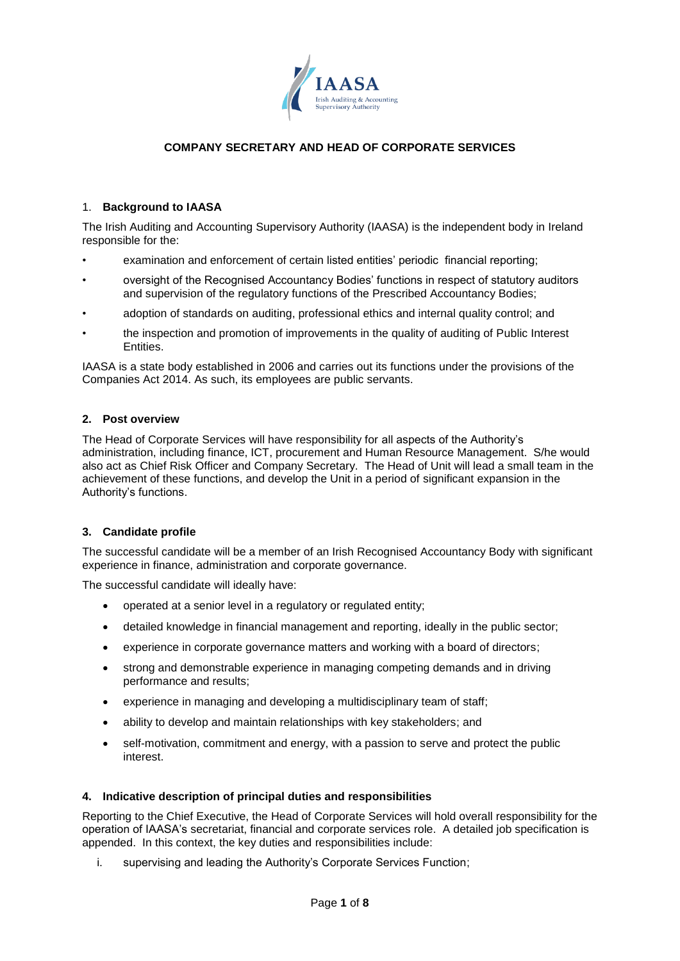

# **COMPANY SECRETARY AND HEAD OF CORPORATE SERVICES**

## 1. **Background to IAASA**

The Irish Auditing and Accounting Supervisory Authority (IAASA) is the independent body in Ireland responsible for the:

- examination and enforcement of certain listed entities' periodic financial reporting;
- oversight of the Recognised Accountancy Bodies' functions in respect of statutory auditors and supervision of the regulatory functions of the Prescribed Accountancy Bodies;
- adoption of standards on auditing, professional ethics and internal quality control; and
- the inspection and promotion of improvements in the quality of auditing of Public Interest Entities.

IAASA is a state body established in 2006 and carries out its functions under the provisions of the Companies Act 2014. As such, its employees are public servants.

### **2. Post overview**

The Head of Corporate Services will have responsibility for all aspects of the Authority's administration, including finance, ICT, procurement and Human Resource Management. S/he would also act as Chief Risk Officer and Company Secretary. The Head of Unit will lead a small team in the achievement of these functions, and develop the Unit in a period of significant expansion in the Authority's functions.

#### **3. Candidate profile**

The successful candidate will be a member of an Irish Recognised Accountancy Body with significant experience in finance, administration and corporate governance.

The successful candidate will ideally have:

- operated at a senior level in a regulatory or regulated entity;
- detailed knowledge in financial management and reporting, ideally in the public sector;
- experience in corporate governance matters and working with a board of directors;
- strong and demonstrable experience in managing competing demands and in driving performance and results;
- experience in managing and developing a multidisciplinary team of staff;
- ability to develop and maintain relationships with key stakeholders; and
- self-motivation, commitment and energy, with a passion to serve and protect the public interest.

### **4. Indicative description of principal duties and responsibilities**

Reporting to the Chief Executive, the Head of Corporate Services will hold overall responsibility for the operation of IAASA's secretariat, financial and corporate services role. A detailed job specification is appended. In this context, the key duties and responsibilities include:

i. supervising and leading the Authority's Corporate Services Function;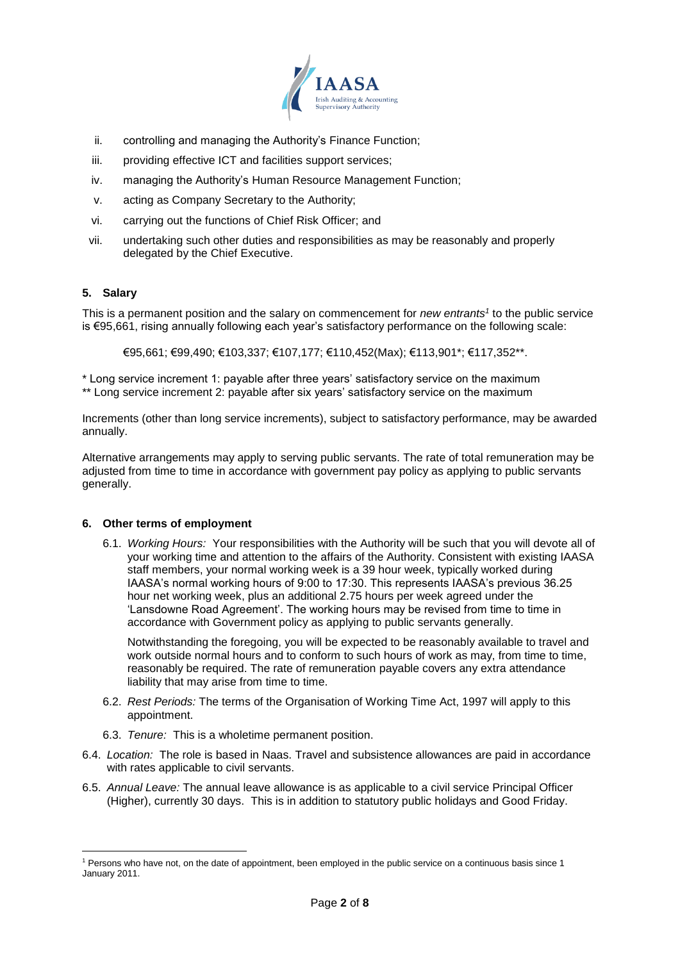

- ii. controlling and managing the Authority's Finance Function;
- iii. providing effective ICT and facilities support services;
- iv. managing the Authority's Human Resource Management Function;
- v. acting as Company Secretary to the Authority;
- vi. carrying out the functions of Chief Risk Officer; and
- vii. undertaking such other duties and responsibilities as may be reasonably and properly delegated by the Chief Executive.

# **5. Salary**

This is a permanent position and the salary on commencement for *new entrants<sup>1</sup>* to the public service is €95,661, rising annually following each year's satisfactory performance on the following scale:

€95,661; €99,490; €103,337; €107,177; €110,452(Max); €113,901\*; €117,352\*\*.

\* Long service increment 1: payable after three years' satisfactory service on the maximum \*\* Long service increment 2: payable after six years' satisfactory service on the maximum

Increments (other than long service increments), subject to satisfactory performance, may be awarded annually.

Alternative arrangements may apply to serving public servants. The rate of total remuneration may be adjusted from time to time in accordance with government pay policy as applying to public servants generally.

## **6. Other terms of employment**

6.1. *Working Hours:* Your responsibilities with the Authority will be such that you will devote all of your working time and attention to the affairs of the Authority. Consistent with existing IAASA staff members, your normal working week is a 39 hour week, typically worked during IAASA's normal working hours of 9:00 to 17:30. This represents IAASA's previous 36.25 hour net working week, plus an additional 2.75 hours per week agreed under the 'Lansdowne Road Agreement'. The working hours may be revised from time to time in accordance with Government policy as applying to public servants generally.

Notwithstanding the foregoing, you will be expected to be reasonably available to travel and work outside normal hours and to conform to such hours of work as may, from time to time, reasonably be required. The rate of remuneration payable covers any extra attendance liability that may arise from time to time.

- 6.2. *Rest Periods:* The terms of the Organisation of Working Time Act, 1997 will apply to this appointment.
- 6.3. *Tenure:* This is a wholetime permanent position.
- 6.4. *Location:* The role is based in Naas. Travel and subsistence allowances are paid in accordance with rates applicable to civil servants.
- 6.5. *Annual Leave:* The annual leave allowance is as applicable to a civil service Principal Officer (Higher), currently 30 days. This is in addition to statutory public holidays and Good Friday.

<sup>1</sup> <sup>1</sup> Persons who have not, on the date of appointment, been employed in the public service on a continuous basis since 1 January 2011.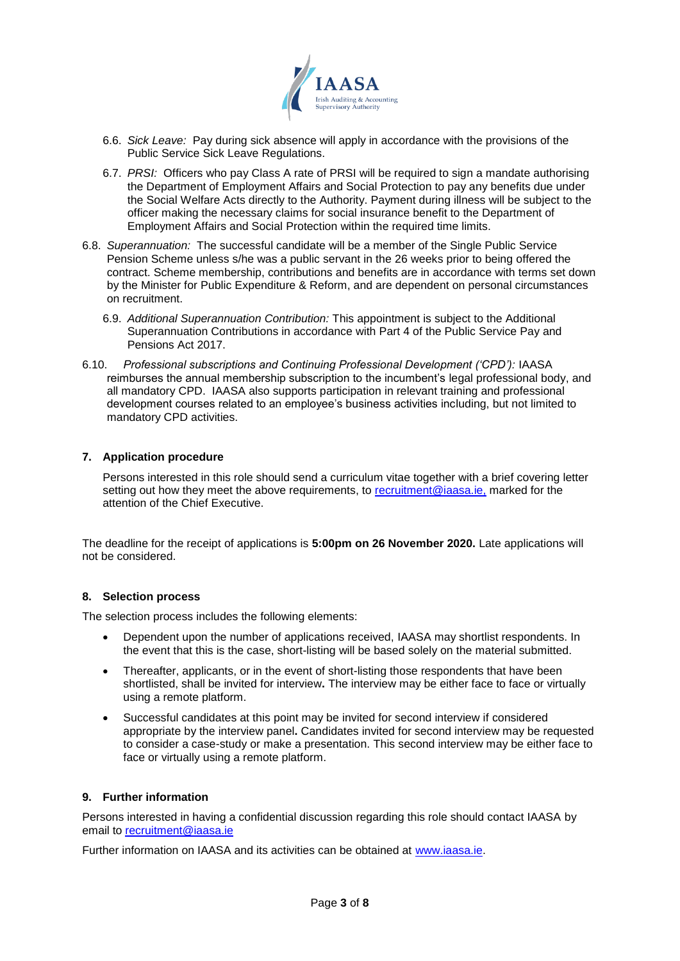

- 6.6. *Sick Leave:* Pay during sick absence will apply in accordance with the provisions of the Public Service Sick Leave Regulations.
- 6.7. *PRSI:* Officers who pay Class A rate of PRSI will be required to sign a mandate authorising the Department of Employment Affairs and Social Protection to pay any benefits due under the Social Welfare Acts directly to the Authority. Payment during illness will be subject to the officer making the necessary claims for social insurance benefit to the Department of Employment Affairs and Social Protection within the required time limits.
- 6.8. *Superannuation:* The successful candidate will be a member of the Single Public Service Pension Scheme unless s/he was a public servant in the 26 weeks prior to being offered the contract. Scheme membership, contributions and benefits are in accordance with terms set down by the Minister for Public Expenditure & Reform, and are dependent on personal circumstances on recruitment.
	- 6.9. *Additional Superannuation Contribution:* This appointment is subject to the Additional Superannuation Contributions in accordance with Part 4 of the Public Service Pay and Pensions Act 2017.
- 6.10. *Professional subscriptions and Continuing Professional Development ('CPD'):* IAASA reimburses the annual membership subscription to the incumbent's legal professional body, and all mandatory CPD. IAASA also supports participation in relevant training and professional development courses related to an employee's business activities including, but not limited to mandatory CPD activities.

## **7. Application procedure**

Persons interested in this role should send a curriculum vitae together with a brief covering letter setting out how they meet the above requirements, to [recruitment@iaasa.ie,](mailto:recruitment@iaasa.ie) marked for the attention of the Chief Executive.

The deadline for the receipt of applications is **5:00pm on 26 November 2020.** Late applications will not be considered.

#### **8. Selection process**

The selection process includes the following elements:

- Dependent upon the number of applications received, IAASA may shortlist respondents. In the event that this is the case, short-listing will be based solely on the material submitted.
- Thereafter, applicants, or in the event of short-listing those respondents that have been shortlisted, shall be invited for interview**.** The interview may be either face to face or virtually using a remote platform.
- Successful candidates at this point may be invited for second interview if considered appropriate by the interview panel**.** Candidates invited for second interview may be requested to consider a case-study or make a presentation. This second interview may be either face to face or virtually using a remote platform.

## **9. Further information**

Persons interested in having a confidential discussion regarding this role should contact IAASA by email to **recruitment@iaasa.ie** 

Further information on IAASA and its activities can be obtained at [www.iaasa.ie.](http://www.iaasa.ie/)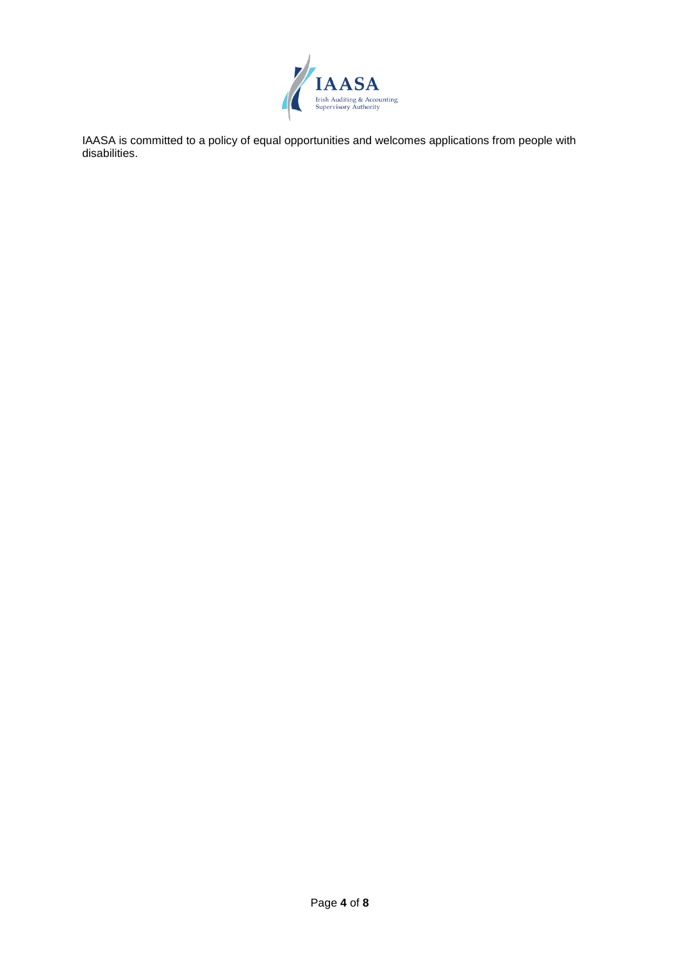

IAASA is committed to a policy of equal opportunities and welcomes applications from people with disabilities.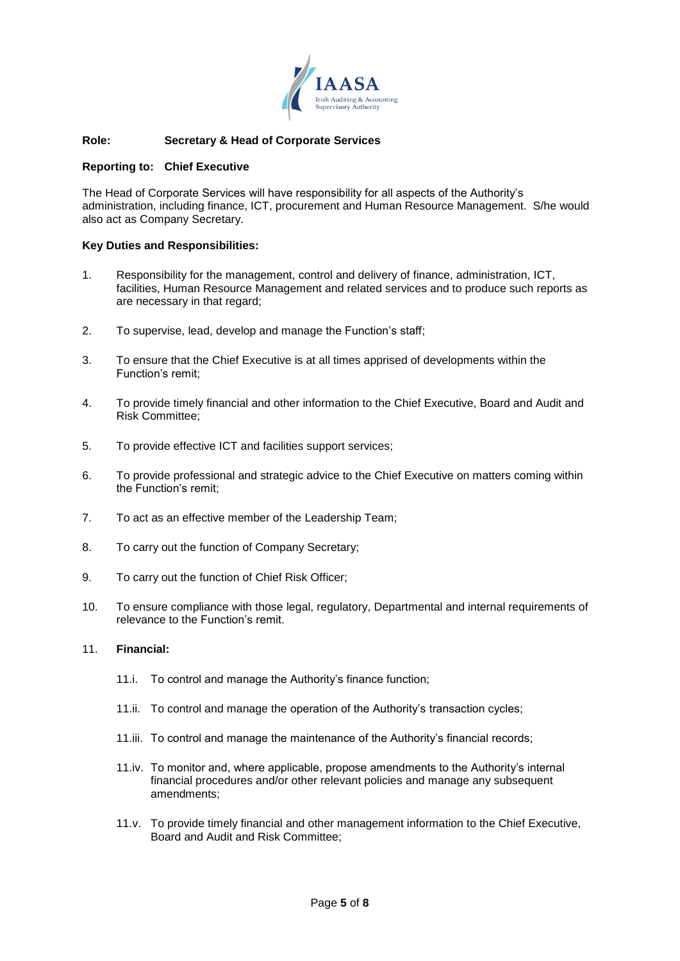

## **Role: Secretary & Head of Corporate Services**

#### **Reporting to: Chief Executive**

The Head of Corporate Services will have responsibility for all aspects of the Authority's administration, including finance, ICT, procurement and Human Resource Management. S/he would also act as Company Secretary.

#### **Key Duties and Responsibilities:**

- 1. Responsibility for the management, control and delivery of finance, administration, ICT, facilities, Human Resource Management and related services and to produce such reports as are necessary in that regard;
- 2. To supervise, lead, develop and manage the Function's staff;
- 3. To ensure that the Chief Executive is at all times apprised of developments within the Function's remit;
- 4. To provide timely financial and other information to the Chief Executive, Board and Audit and Risk Committee;
- 5. To provide effective ICT and facilities support services;
- 6. To provide professional and strategic advice to the Chief Executive on matters coming within the Function's remit;
- 7. To act as an effective member of the Leadership Team;
- 8. To carry out the function of Company Secretary;
- 9. To carry out the function of Chief Risk Officer;
- 10. To ensure compliance with those legal, regulatory, Departmental and internal requirements of relevance to the Function's remit.

### 11. **Financial:**

- 11.i. To control and manage the Authority's finance function;
- 11.ii. To control and manage the operation of the Authority's transaction cycles;
- 11.iii. To control and manage the maintenance of the Authority's financial records;
- 11.iv. To monitor and, where applicable, propose amendments to the Authority's internal financial procedures and/or other relevant policies and manage any subsequent amendments;
- 11.v. To provide timely financial and other management information to the Chief Executive, Board and Audit and Risk Committee;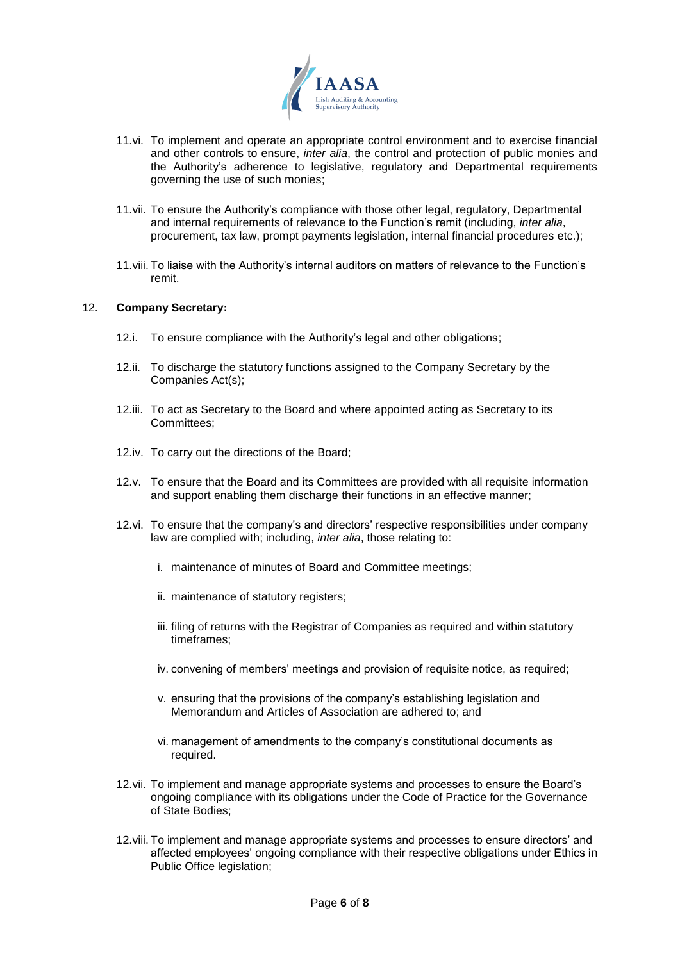

- 11.vi. To implement and operate an appropriate control environment and to exercise financial and other controls to ensure, *inter alia*, the control and protection of public monies and the Authority's adherence to legislative, regulatory and Departmental requirements governing the use of such monies;
- 11.vii. To ensure the Authority's compliance with those other legal, regulatory, Departmental and internal requirements of relevance to the Function's remit (including, *inter alia*, procurement, tax law, prompt payments legislation, internal financial procedures etc.);
- 11.viii. To liaise with the Authority's internal auditors on matters of relevance to the Function's remit.

### 12. **Company Secretary:**

- 12.i. To ensure compliance with the Authority's legal and other obligations;
- 12.ii. To discharge the statutory functions assigned to the Company Secretary by the Companies Act(s);
- 12.iii. To act as Secretary to the Board and where appointed acting as Secretary to its Committees;
- 12.iv. To carry out the directions of the Board;
- 12.v. To ensure that the Board and its Committees are provided with all requisite information and support enabling them discharge their functions in an effective manner;
- 12.vi. To ensure that the company's and directors' respective responsibilities under company law are complied with; including, *inter alia*, those relating to:
	- i. maintenance of minutes of Board and Committee meetings;
	- ii. maintenance of statutory registers;
	- iii. filing of returns with the Registrar of Companies as required and within statutory timeframes;
	- iv. convening of members' meetings and provision of requisite notice, as required;
	- v. ensuring that the provisions of the company's establishing legislation and Memorandum and Articles of Association are adhered to; and
	- vi. management of amendments to the company's constitutional documents as required.
- 12.vii. To implement and manage appropriate systems and processes to ensure the Board's ongoing compliance with its obligations under the Code of Practice for the Governance of State Bodies;
- 12.viii. To implement and manage appropriate systems and processes to ensure directors' and affected employees' ongoing compliance with their respective obligations under Ethics in Public Office legislation;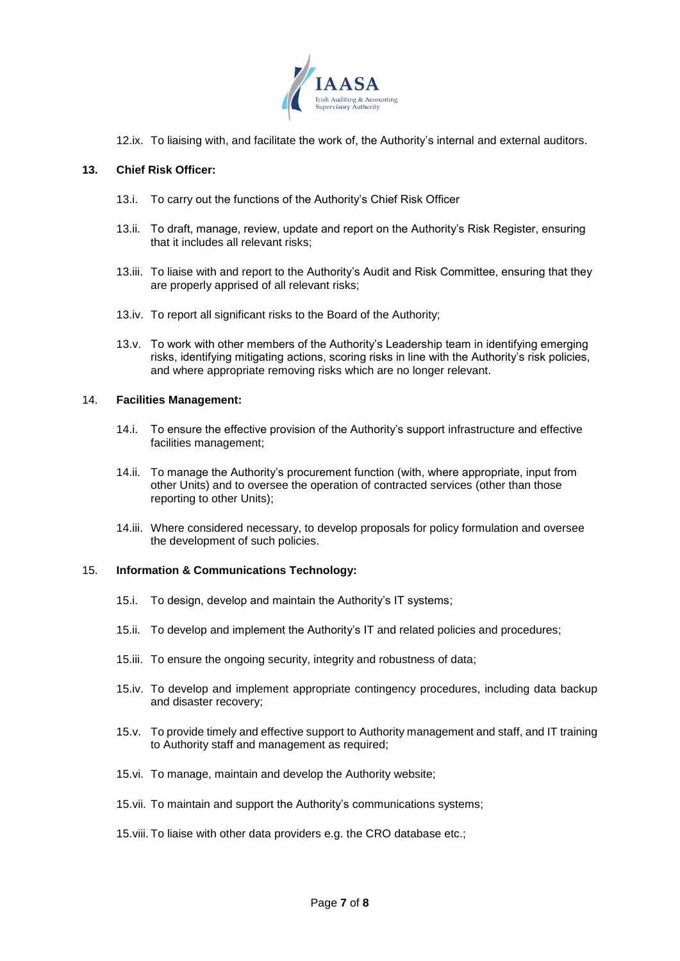

12.ix. To liaising with, and facilitate the work of, the Authority's internal and external auditors.

## **13. Chief Risk Officer:**

- 13.i. To carry out the functions of the Authority's Chief Risk Officer
- 13.ii. To draft, manage, review, update and report on the Authority's Risk Register, ensuring that it includes all relevant risks;
- 13.iii. To liaise with and report to the Authority's Audit and Risk Committee, ensuring that they are properly apprised of all relevant risks;
- 13.iv. To report all significant risks to the Board of the Authority;
- 13.v. To work with other members of the Authority's Leadership team in identifying emerging risks, identifying mitigating actions, scoring risks in line with the Authority's risk policies, and where appropriate removing risks which are no longer relevant.

### 14. **Facilities Management:**

- 14.i. To ensure the effective provision of the Authority's support infrastructure and effective facilities management;
- 14.ii. To manage the Authority's procurement function (with, where appropriate, input from other Units) and to oversee the operation of contracted services (other than those reporting to other Units);
- 14.iii. Where considered necessary, to develop proposals for policy formulation and oversee the development of such policies.

#### 15. **Information & Communications Technology:**

- 15.i. To design, develop and maintain the Authority's IT systems;
- 15.ii. To develop and implement the Authority's IT and related policies and procedures;
- 15.iii. To ensure the ongoing security, integrity and robustness of data;
- 15.iv. To develop and implement appropriate contingency procedures, including data backup and disaster recovery;
- 15.v. To provide timely and effective support to Authority management and staff, and IT training to Authority staff and management as required;
- 15.vi. To manage, maintain and develop the Authority website;
- 15.vii. To maintain and support the Authority's communications systems;
- 15.viii. To liaise with other data providers e.g. the CRO database etc.;